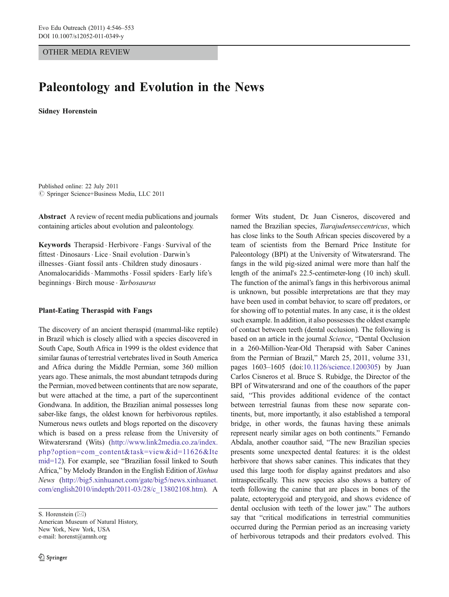## OTHER MEDIA REVIEW

# Paleontology and Evolution in the News

Sidney Horenstein

Published online: 22 July 2011  $©$  Springer Science+Business Media, LLC 2011

Abstract A review of recent media publications and journals containing articles about evolution and paleontology.

Keywords Therapsid . Herbivore . Fangs . Survival of the fittest . Dinosaurs. Lice . Snail evolution . Darwin's illnesses · Giant fossil ants · Children study dinosaurs · Anomalocaridids · Mammoths · Fossil spiders · Early life's beginnings. Birch mouse . Tarbosaurus

## Plant-Eating Theraspid with Fangs

The discovery of an ancient theraspid (mammal-like reptile) in Brazil which is closely allied with a species discovered in South Cape, South Africa in 1999 is the oldest evidence that similar faunas of terrestrial vertebrates lived in South America and Africa during the Middle Permian, some 360 million years ago. These animals, the most abundant tetrapods during the Permian, moved between continents that are now separate, but were attached at the time, a part of the supercontinent Gondwana. In addition, the Brazilian animal possesses long saber-like fangs, the oldest known for herbivorous reptiles. Numerous news outlets and blogs reported on the discovery which is based on a press release from the University of Witwatersrand (Wits) ([http://www.link2media.co.za/index.](http://www.link2media.co.za/index.php?option=com_content&task=view&id=11626&Itemid=12) [php?option=com\\_content&task=view&id=11626&Ite](http://www.link2media.co.za/index.php?option=com_content&task=view&id=11626&Itemid=12) [mid=12](http://www.link2media.co.za/index.php?option=com_content&task=view&id=11626&Itemid=12)). For example, see "Brazilian fossil linked to South Africa," by Melody Brandon in the English Edition of Xinhua News ([http://big5.xinhuanet.com/gate/big5/news.xinhuanet.](http://big5.xinhuanet.com/gate/big5/news.xinhuanet.com/english2010/indepth/2011-03/28/c_13802108.htm) [com/english2010/indepth/2011-03/28/c\\_13802108.htm\)](http://big5.xinhuanet.com/gate/big5/news.xinhuanet.com/english2010/indepth/2011-03/28/c_13802108.htm). A

S. Horenstein  $(\boxtimes)$ 

American Museum of Natural History, New York, New York, USA e-mail: horenst@amnh.org

former Wits student, Dr. Juan Cisneros, discovered and named the Brazilian species, Tiarajudenseccentricus, which has close links to the South African species discovered by a team of scientists from the Bernard Price Institute for Paleontology (BPI) at the University of Witwatersrand. The fangs in the wild pig-sized animal were more than half the length of the animal's 22.5-centimeter-long (10 inch) skull. The function of the animal's fangs in this herbivorous animal is unknown, but possible interpretations are that they may have been used in combat behavior, to scare off predators, or for showing off to potential mates. In any case, it is the oldest such example. In addition, it also possesses the oldest example of contact between teeth (dental occlusion). The following is based on an article in the journal Science, "Dental Occlusion in a 260-Million-Year-Old Therapsid with Saber Canines from the Permian of Brazil," March 25, 2011, volume 331, pages 1603–1605 (doi:[10.1126/science.1200305](http://dx.doi.org/10.1126/science.1200305)) by Juan Carlos Cisneros et al. Bruce S. Rubidge, the Director of the BPI of Witwatersrand and one of the coauthors of the paper said, "This provides additional evidence of the contact between terrestrial faunas from these now separate continents, but, more importantly, it also established a temporal bridge, in other words, the faunas having these animals represent nearly similar ages on both continents." Fernando Abdala, another coauthor said, "The new Brazilian species presents some unexpected dental features: it is the oldest herbivore that shows saber canines. This indicates that they used this large tooth for display against predators and also intraspecifically. This new species also shows a battery of teeth following the canine that are places in bones of the palate, ectopterygoid and pterygoid, and shows evidence of dental occlusion with teeth of the lower jaw." The authors say that "critical modifications in terrestrial communities occurred during the Permian period as an increasing variety of herbivorous tetrapods and their predators evolved. This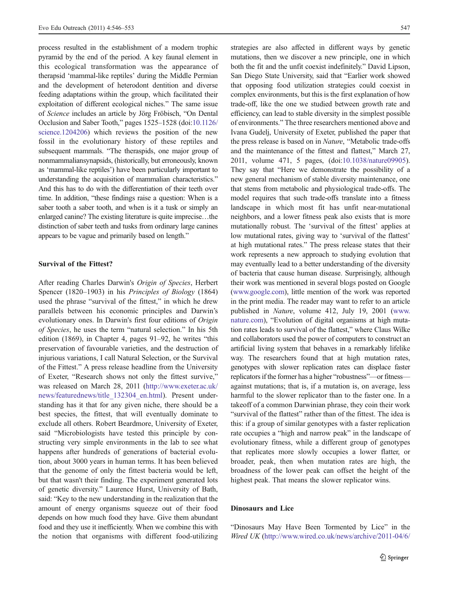process resulted in the establishment of a modern trophic pyramid by the end of the period. A key faunal element in this ecological transformation was the appearance of therapsid 'mammal-like reptiles' during the Middle Permian and the development of heterodont dentition and diverse feeding adaptations within the group, which facilitated their exploitation of different ecological niches." The same issue of Science includes an article by Jörg Fröbisch, "On Dental Occlusion and Saber Tooth," pages 1525–1528 (doi[:10.1126/](http://dx.doi.org/10.1126/science.1204206) [science.1204206](http://dx.doi.org/10.1126/science.1204206)) which reviews the position of the new fossil in the evolutionary history of these reptiles and subsequent mammals. "The theraspids, one major group of nonmammaliansynapsids, (historically, but erroneously, known as 'mammal-like reptiles') have been particularly important to understanding the acquisition of mammalian characteristics." And this has to do with the differentiation of their teeth over time. In addition, "these findings raise a question: When is a saber tooth a saber tooth, and when is it a tusk or simply an enlarged canine? The existing literature is quite imprecise…the distinction of saber teeth and tusks from ordinary large canines appears to be vague and primarily based on length."

### Survival of the Fittest?

After reading Charles Darwin's Origin of Species, Herbert Spencer (1820–1903) in his Principles of Biology (1864) used the phrase "survival of the fittest," in which he drew parallels between his economic principles and Darwin's evolutionary ones. In Darwin's first four editions of Origin of Species, he uses the term "natural selection." In his 5th edition (1869), in Chapter 4, pages 91–92, he writes "this preservation of favourable varieties, and the destruction of injurious variations, I call Natural Selection, or the Survival of the Fittest." A press release headline from the University of Exeter, "Research shows not only the fittest survive," was released on March 28, 2011 [\(http://www.exeter.ac.uk/](http://www.exeter.ac.uk/news/featurednews/title_132304_en.html) [news/featurednews/title\\_132304\\_en.html\)](http://www.exeter.ac.uk/news/featurednews/title_132304_en.html). Present understanding has it that for any given niche, there should be a best species, the fittest, that will eventually dominate to exclude all others. Robert Beardmore, University of Exeter, said "Microbiologists have tested this principle by constructing very simple environments in the lab to see what happens after hundreds of generations of bacterial evolution, about 3000 years in human terms. It has been believed that the genome of only the fittest bacteria would be left, but that wasn't their finding. The experiment generated lots of genetic diversity." Laurence Hurst, University of Bath, said: "Key to the new understanding in the realization that the amount of energy organisms squeeze out of their food depends on how much food they have. Give them abundant food and they use it inefficiently. When we combine this with the notion that organisms with different food-utilizing

strategies are also affected in different ways by genetic mutations, then we discover a new principle, one in which both the fit and the unfit coexist indefinitely." David Lipson, San Diego State University, said that "Earlier work showed that opposing food utilization strategies could coexist in complex environments, but this is the first explanation of how trade-off, like the one we studied between growth rate and efficiency, can lead to stable diversity in the simplest possible of environments." The three researchers mentioned above and Ivana Gudelj, University of Exeter, published the paper that the press release is based on in Nature, "Metabolic trade-offs and the maintenance of the fittest and flattest," March 27, 2011, volume 471, 5 pages, (doi[:10.1038/nature09905\)](http://dx.doi.org/10.1038/nature09905). They say that "Here we demonstrate the possibility of a new general mechanism of stable diversity maintenance, one that stems from metabolic and physiological trade-offs. The model requires that such trade-offs translate into a fitness landscape in which most fit has unfit near-mutational neighbors, and a lower fitness peak also exists that is more mutationally robust. The 'survival of the fittest' applies at low mutational rates, giving way to 'survival of the flattest' at high mutational rates." The press release states that their work represents a new approach to studying evolution that may eventually lead to a better understanding of the diversity of bacteria that cause human disease. Surprisingly, although their work was mentioned in several blogs posted on Google [\(www.google.com](http://www.google.com)), little mention of the work was reported in the print media. The reader may want to refer to an article published in Nature, volume 412, July 19, 2001 ([www.](http://www.nature.com) [nature.com](http://www.nature.com)), "Evolution of digital organisms at high mutation rates leads to survival of the flattest," where Claus Wilke and collaborators used the power of computers to construct an artificial living system that behaves in a remarkably lifelike way. The researchers found that at high mutation rates, genotypes with slower replication rates can displace faster replicators if the former has a higher "robustness"—or fitness against mutations; that is, if a mutation is, on average, less harmful to the slower replicator than to the faster one. In a takeoff of a common Darwinian phrase, they coin their work "survival of the flattest" rather than of the fittest. The idea is this: if a group of similar genotypes with a faster replication rate occupies a "high and narrow peak" in the landscape of evolutionary fitness, while a different group of genotypes that replicates more slowly occupies a lower flatter, or broader, peak, then when mutation rates are high, the broadness of the lower peak can offset the height of the highest peak. That means the slower replicator wins.

## Dinosaurs and Lice

"Dinosaurs May Have Been Tormented by Lice" in the Wired UK ([http://www.wired.co.uk/news/archive/2011-04/6/](http://www.wired.co.uk/news/archive/2011-04/6/dinosaurs-and-lice)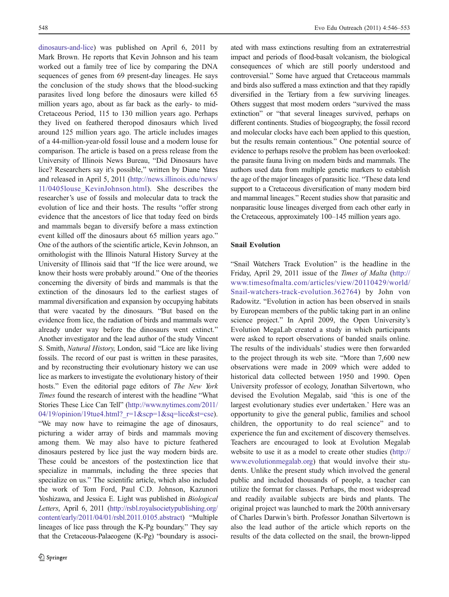[dinosaurs-and-lice\)](http://www.wired.co.uk/news/archive/2011-04/6/dinosaurs-and-lice) was published on April 6, 2011 by Mark Brown. He reports that Kevin Johnson and his team worked out a family tree of lice by comparing the DNA sequences of genes from 69 present-day lineages. He says the conclusion of the study shows that the blood-sucking parasites lived long before the dinosaurs were killed 65 million years ago, about as far back as the early- to mid-Cretaceous Period, 115 to 130 million years ago. Perhaps they lived on feathered theropod dinosaurs which lived around 125 million years ago. The article includes images of a 44-million-year-old fossil louse and a modern louse for comparison. The article is based on a press release from the University of Illinois News Bureau, "Did Dinosaurs have lice? Researchers say it's possible," written by Diane Yates and released in April 5, 2011 ([http://news.illinois.edu/news/](http://news.illinois.edu/news/11/0405louse_KevinJohnson.html) [11/0405louse\\_KevinJohnson.html](http://news.illinois.edu/news/11/0405louse_KevinJohnson.html)). She describes the researcher's use of fossils and molecular data to track the evolution of lice and their hosts. The results "offer strong evidence that the ancestors of lice that today feed on birds and mammals began to diversify before a mass extinction event killed off the dinosaurs about 65 million years ago." One of the authors of the scientific article, Kevin Johnson, an ornithologist with the Illinois Natural History Survey at the University of Illinois said that "If the lice were around, we know their hosts were probably around." One of the theories concerning the diversity of birds and mammals is that the extinction of the dinosaurs led to the earliest stages of mammal diversification and expansion by occupying habitats that were vacated by the dinosaurs. "But based on the evidence from lice, the radiation of birds and mammals were already under way before the dinosaurs went extinct." Another investigator and the lead author of the study Vincent S. Smith, Natural History, London, said "Lice are like living fossils. The record of our past is written in these parasites, and by reconstructing their evolutionary history we can use lice as markers to investigate the evolutionary history of their hosts." Even the editorial page editors of The New York Times found the research of interest with the headline "What Stories These Lice Can Tell" ([http://www.nytimes.com/2011/](http://www.nytimes.com/2011/04/19/opinion/19tue4.html?_r=1&scp=1&sq=lice&st=cse) 04/19/opinion/19tue4.html? $r=1$ &scp=1&sq=lice&st=cse). "We may now have to reimagine the age of dinosaurs, picturing a wider array of birds and mammals moving among them. We may also have to picture feathered dinosaurs pestered by lice just the way modern birds are. These could be ancestors of the postextinction lice that specialize in mammals, including the three species that specialize on us." The scientific article, which also included the work of Tom Ford, Paul C.D. Johnson, Kazunori Yoshizawa, and Jessica E. Light was published in Biological Letters, April 6, 2011 ([http://rsbl.royalsocietypublishing.org/](http://rsbl.royalsocietypublishing.org/content/early/2011/04/01/rsbl.2011.0105.abstract) [content/early/2011/04/01/rsbl.2011.0105.abstract\)](http://rsbl.royalsocietypublishing.org/content/early/2011/04/01/rsbl.2011.0105.abstract) "Multiple lineages of lice pass through the K-Pg boundary." They say that the Cretaceous-Palaeogene (K-Pg) "boundary is associ-

ated with mass extinctions resulting from an extraterrestrial impact and periods of flood-basalt volcanism, the biological consequences of which are still poorly understood and controversial." Some have argued that Cretaceous mammals and birds also suffered a mass extinction and that they rapidly diversified in the Tertiary from a few surviving lineages. Others suggest that most modern orders "survived the mass extinction" or "that several lineages survived, perhaps on different continents. Studies of biogeography, the fossil record and molecular clocks have each been applied to this question, but the results remain contentious." One potential source of evidence to perhaps resolve the problem has been overlooked: the parasite fauna living on modern birds and mammals. The authors used data from multiple genetic markers to establish the age of the major lineages of parasitic lice. "These data lend support to a Cretaceous diversification of many modern bird and mammal lineages." Recent studies show that parasitic and nonparasitic louse lineages diverged from each other early in the Cretaceous, approximately 100–145 million years ago.

## Snail Evolution

"Snail Watchers Track Evolution" is the headline in the Friday, April 29, 2011 issue of the Times of Malta ([http://](http://www.timesofmalta.com/articles/view/20110429/world/Snail-watchers-track-evolution.362764) [www.timesofmalta.com/articles/view/20110429/world/](http://www.timesofmalta.com/articles/view/20110429/world/Snail-watchers-track-evolution.362764) [Snail-watchers-track-evolution.362764\)](http://www.timesofmalta.com/articles/view/20110429/world/Snail-watchers-track-evolution.362764) by John von Radowitz. "Evolution in action has been observed in snails by European members of the public taking part in an online science project." In April 2009, the Open University's Evolution MegaLab created a study in which participants were asked to report observations of banded snails online. The results of the individuals' studies were then forwarded to the project through its web site. "More than 7,600 new observations were made in 2009 which were added to historical data collected between 1950 and 1990. Open University professor of ecology, Jonathan Silvertown, who devised the Evolution Megalab, said 'this is one of the largest evolutionary studies ever undertaken.' Here was an opportunity to give the general public, families and school children, the opportunity to do real science" and to experience the fun and excitement of discovery themselves. Teachers are encouraged to look at Evolution Megalab website to use it as a model to create other studies ([http://](http://www.evolutionmegalab.org) [www.evolutionmegalab.org](http://www.evolutionmegalab.org)) that would involve their students. Unlike the present study which involved the general public and included thousands of people, a teacher can utilize the format for classes. Perhaps, the most widespread and readily available subjects are birds and plants. The original project was launched to mark the 200th anniversary of Charles Darwin's birth. Professor Jonathan Silvertown is also the lead author of the article which reports on the results of the data collected on the snail, the brown-lipped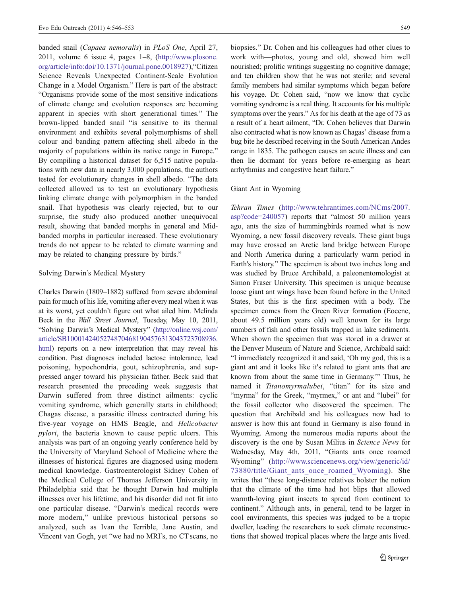banded snail (Capaea nemoralis) in PLoS One, April 27, 2011, volume 6 issue 4, pages 1–8, [\(http://www.plosone.](http://www.plosone.org/article/info:doi/10.1371/journal.pone.0018927) [org/article/info:doi/10.1371/journal.pone.0018927](http://www.plosone.org/article/info:doi/10.1371/journal.pone.0018927)),"Citizen Science Reveals Unexpected Continent-Scale Evolution Change in a Model Organism." Here is part of the abstract: "Organisms provide some of the most sensitive indications of climate change and evolution responses are becoming apparent in species with short generational times." The brown-lipped banded snail "is sensitive to its thermal environment and exhibits several polymorphisms of shell colour and banding pattern affecting shell albedo in the majority of populations within its native range in Europe." By compiling a historical dataset for 6,515 native populations with new data in nearly 3,000 populations, the authors tested for evolutionary changes in shell albedo. "The data collected allowed us to test an evolutionary hypothesis linking climate change with polymorphism in the banded snail. That hypothesis was clearly rejected, but to our surprise, the study also produced another unequivocal result, showing that banded morphs in general and Midbanded morphs in particular increased. These evolutionary trends do not appear to be related to climate warming and may be related to changing pressure by birds."

#### Solving Darwin's Medical Mystery

Charles Darwin (1809–1882) suffered from severe abdominal pain for much of his life, vomiting after every meal when it was at its worst, yet couldn't figure out what ailed him. Melinda Beck in the *Wall Street Journal*, Tuesday, May 10, 2011, "Solving Darwin's Medical Mystery" [\(http://online.wsj.com/](http://online.wsj.com/article/SB10001424052748704681904576313043723708936.html) [article/SB10001424052748704681904576313043723708936.](http://online.wsj.com/article/SB10001424052748704681904576313043723708936.html) [html](http://online.wsj.com/article/SB10001424052748704681904576313043723708936.html)) reports on a new interpretation that may reveal his condition. Past diagnoses included lactose intolerance, lead poisoning, hypochondria, gout, schizophrenia, and suppressed anger toward his physician father. Beck said that research presented the preceding week suggests that Darwin suffered from three distinct ailments: cyclic vomiting syndrome, which generally starts in childhood; Chagas disease, a parasitic illness contracted during his five-year voyage on HMS Beagle, and Helicobacter pylori, the bacteria known to cause peptic ulcers. This analysis was part of an ongoing yearly conference held by the University of Maryland School of Medicine where the illnesses of historical figures are diagnosed using modern medical knowledge. Gastroenterologist Sidney Cohen of the Medical College of Thomas Jefferson University in Philadelphia said that he thought Darwin had multiple illnesses over his lifetime, and his disorder did not fit into one particular disease. "Darwin's medical records were more modern," unlike previous historical persons so analyzed, such as Ivan the Terrible, Jane Austin, and Vincent van Gogh, yet "we had no MRI's, no CT scans, no

biopsies." Dr. Cohen and his colleagues had other clues to work with—photos, young and old, showed him well nourished; prolific writings suggesting no cognitive damage; and ten children show that he was not sterile; and several family members had similar symptoms which began before his voyage. Dr. Cohen said, "now we know that cyclic vomiting syndrome is a real thing. It accounts for his multiple symptoms over the years." As for his death at the age of 73 as a result of a heart ailment, "Dr. Cohen believes that Darwin also contracted what is now known as Chagas' disease from a bug bite he described receiving in the South American Andes range in 1835. The pathogen causes an acute illness and can then lie dormant for years before re-emerging as heart arrhythmias and congestive heart failure."

### Giant Ant in Wyoming

Tehran Times ([http://www.tehrantimes.com/NCms/2007.](http://www.tehrantimes.com/NCms/2007.asp?code=240057) [asp?code=240057\)](http://www.tehrantimes.com/NCms/2007.asp?code=240057) reports that "almost 50 million years ago, ants the size of hummingbirds roamed what is now Wyoming, a new fossil discovery reveals. These giant bugs may have crossed an Arctic land bridge between Europe and North America during a particularly warm period in Earth's history." The specimen is about two inches long and was studied by Bruce Archibald, a paleonentomologist at Simon Fraser University. This specimen is unique because loose giant ant wings have been found before in the United States, but this is the first specimen with a body. The specimen comes from the Green River formation (Eocene, about 49.5 million years old) well known for its large numbers of fish and other fossils trapped in lake sediments. When shown the specimen that was stored in a drawer at the Denver Museum of Nature and Science, Archibald said: "I immediately recognized it and said, 'Oh my god, this is a giant ant and it looks like it's related to giant ants that are known from about the same time in Germany.'" Thus, he named it Titanomyrmalubei, "titan" for its size and "myrma" for the Greek, "myrmex," or ant and "lubei" for the fossil collector who discovered the specimen. The question that Archibald and his colleagues now had to answer is how this ant found in Germany is also found in Wyoming. Among the numerous media reports about the discovery is the one by Susan Milius in Science News for Wednesday, May 4th, 2011, "Giants ants once roamed Wyoming" ([http://www.sciencenews.org/view/generic/id/](http://www.sciencenews.org/view/generic/id/73880/title/Giant_ants_once_roamed_Wyoming) [73880/title/Giant\\_ants\\_once\\_roamed\\_Wyoming](http://www.sciencenews.org/view/generic/id/73880/title/Giant_ants_once_roamed_Wyoming)). She writes that "these long-distance relatives bolster the notion that the climate of the time had hot blips that allowed warmth-loving giant insects to spread from continent to continent." Although ants, in general, tend to be larger in cool environments, this species was judged to be a tropic dweller, leading the researchers to seek climate reconstructions that showed tropical places where the large ants lived.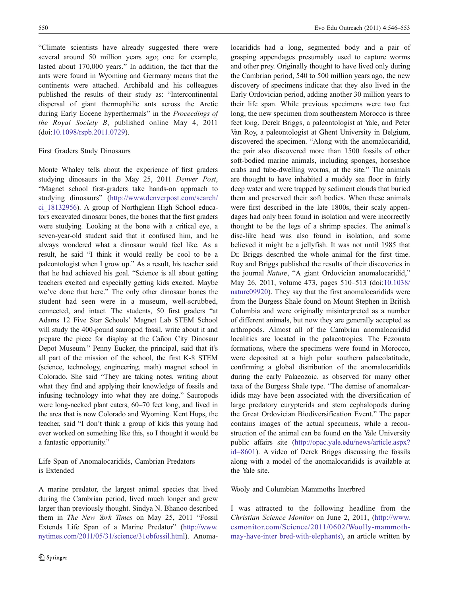"Climate scientists have already suggested there were several around 50 million years ago; one for example, lasted about 170,000 years." In addition, the fact that the ants were found in Wyoming and Germany means that the continents were attached. Archibald and his colleagues published the results of their study as: "Intercontinental dispersal of giant thermophilic ants across the Arctic during Early Eocene hyperthermals" in the Proceedings of the Royal Society B, published online May 4, 2011 (doi:[10.1098/rspb.2011.0729\)](http://dx.doi.org/10.1098/rspb.2011.0729).

#### First Graders Study Dinosaurs

Monte Whaley tells about the experience of first graders studying dinosaurs in the May 25, 2011 Denver Post, "Magnet school first-graders take hands-on approach to studying dinosaurs" ([http://www.denverpost.com/search/](http://www.denverpost.com/search/ci_18132956) [ci\\_18132956\)](http://www.denverpost.com/search/ci_18132956). A group of Northglenn High School educators excavated dinosaur bones, the bones that the first graders were studying. Looking at the bone with a critical eye, a seven-year-old student said that it confused him, and he always wondered what a dinosaur would feel like. As a result, he said "I think it would really be cool to be a paleontologist when I grow up." As a result, his teacher said that he had achieved his goal. "Science is all about getting teachers excited and especially getting kids excited. Maybe we've done that here." The only other dinosaur bones the student had seen were in a museum, well-scrubbed, connected, and intact. The students, 50 first graders "at Adams 12 Five Star Schools' Magnet Lab STEM School will study the 400-pound sauropod fossil, write about it and prepare the piece for display at the Cañon City Dinosaur Depot Museum." Penny Eucker, the principal, said that it's all part of the mission of the school, the first K-8 STEM (science, technology, engineering, math) magnet school in Colorado. She said "They are taking notes, writing about what they find and applying their knowledge of fossils and infusing technology into what they are doing." Sauropods were long-necked plant eaters, 60–70 feet long, and lived in the area that is now Colorado and Wyoming. Kent Hups, the teacher, said "I don't think a group of kids this young had ever worked on something like this, so I thought it would be a fantastic opportunity."

Life Span of Anomalocaridids, Cambrian Predators is Extended

A marine predator, the largest animal species that lived during the Cambrian period, lived much longer and grew larger than previously thought. Sindya N. Bhanoo described them in The New York Times on May 25, 2011 "Fossil Extends Life Span of a Marine Predator" ([http://www.](http://www.nytimes.com/2011/05/31/science/31obfossil.html) [nytimes.com/2011/05/31/science/31obfossil.html](http://www.nytimes.com/2011/05/31/science/31obfossil.html)). Anoma-

locaridids had a long, segmented body and a pair of grasping appendages presumably used to capture worms and other prey. Originally thought to have lived only during the Cambrian period, 540 to 500 million years ago, the new discovery of specimens indicate that they also lived in the Early Ordovician period, adding another 30 million years to their life span. While previous specimens were two feet long, the new specimen from southeastern Morocco is three feet long. Derek Briggs, a paleontologist at Yale, and Peter Van Roy, a paleontologist at Ghent University in Belgium, discovered the specimen. "Along with the anomalocaridid, the pair also discovered more than 1500 fossils of other soft-bodied marine animals, including sponges, horseshoe crabs and tube-dwelling worms, at the site." The animals are thought to have inhabited a muddy sea floor in fairly deep water and were trapped by sediment clouds that buried them and preserved their soft bodies. When these animals were first described in the late 1800s, their scaly appendages had only been found in isolation and were incorrectly thought to be the legs of a shrimp species. The animal's disc-like head was also found in isolation, and some believed it might be a jellyfish. It was not until 1985 that Dr. Briggs described the whole animal for the first time. Roy and Briggs published the results of their discoveries in the journal Nature, "A giant Ordovician anomalocaridid," May 26, 2011, volume 473, pages 510–513 (doi[:10.1038/](http://dx.doi.org/10.1038/nature09920) [nature09920\)](http://dx.doi.org/10.1038/nature09920). They say that the first anomalocaridids were from the Burgess Shale found on Mount Stephen in British Columbia and were originally misinterpreted as a number of different animals, but now they are generally accepted as arthropods. Almost all of the Cambrian anomalocaridid localities are located in the palaeotropics. The Fezouata formations, where the specimens were found in Morocco, were deposited at a high polar southern palaeolatitude, confirming a global distribution of the anomalocaridids during the early Palaeozoic, as observed for many other taxa of the Burgess Shale type. "The demise of anomalcaridids may have been associated with the diversification of large predatory eurypterids and stem cephalopods during the Great Ordovician Biodiversification Event." The paper contains images of the actual specimens, while a reconstruction of the animal can be found on the Yale University public affairs site ([http://opac.yale.edu/news/article.aspx?](http://opac.yale.edu/news/article.aspx?id=8601) [id=8601](http://opac.yale.edu/news/article.aspx?id=8601)). A video of Derek Briggs discussing the fossils along with a model of the anomalocaridids is available at the Yale site.

#### Wooly and Columbian Mammoths Interbred

I was attracted to the following headline from the Christian Science Monitor on June 2, 2011, [\(http://www.](http://www.csmonitor.com/Science/2011/0602/Woolly-mammoth-may-have-interbred-with-elephants)) [csmonitor.com/Science/2011/0602/Woolly-mammoth](http://www.csmonitor.com/Science/2011/0602/Woolly-mammoth-may-have-interbred-with-elephants))[may-have-inter bred-with-elephants\),](http://www.csmonitor.com/Science/2011/0602/Woolly-mammoth-may-have-interbred-with-elephants)) an article written by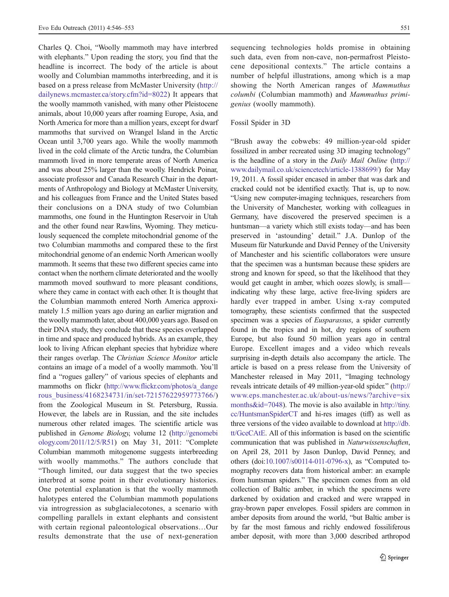Charles Q. Choi, "Woolly mammoth may have interbred with elephants." Upon reading the story, you find that the headline is incorrect. The body of the article is about woolly and Columbian mammoths interbreeding, and it is based on a press release from McMaster University [\(http://](http://dailynews.mcmaster.ca/story.cfm?id=8022) [dailynews.mcmaster.ca/story.cfm?id=8022](http://dailynews.mcmaster.ca/story.cfm?id=8022)) It appears that the woolly mammoth vanished, with many other Pleistocene animals, about 10,000 years after roaming Europe, Asia, and North America for more than a million years, except for dwarf mammoths that survived on Wrangel Island in the Arctic Ocean until 3,700 years ago. While the woolly mammoth lived in the cold climate of the Arctic tundra, the Columbian mammoth lived in more temperate areas of North America and was about 25% larger than the woolly. Hendrick Poinar, associate professor and Canada Research Chair in the departments of Anthropology and Biology at McMaster University, and his colleagues from France and the United States based their conclusions on a DNA study of two Columbian mammoths, one found in the Huntington Reservoir in Utah and the other found near Rawlins, Wyoming. They meticulously sequenced the complete mitochondrial genome of the two Columbian mammoths and compared these to the first mitochondrial genome of an endemic North American woolly mammoth. It seems that these two different species came into contact when the northern climate deteriorated and the woolly mammoth moved southward to more pleasant conditions, where they came in contact with each other. It is thought that the Columbian mammoth entered North America approximately 1.5 million years ago during an earlier migration and the woolly mammoth later, about 400,000 years ago. Based on their DNA study, they conclude that these species overlapped in time and space and produced hybrids. As an example, they look to living African elephant species that hybridize where their ranges overlap. The Christian Science Monitor article contains an image of a model of a woolly mammoth. You'll find a "rogues gallery" of various species of elephants and mammoths on flickr [\(http://www.flickr.com/photos/a\\_dange](http://www.flickr.com/photos/a_dangerous_business/4168234731/in/set-72157622959773766/) [rous\\_business/4168234731/in/set-72157622959773766/\)](http://www.flickr.com/photos/a_dangerous_business/4168234731/in/set-72157622959773766/) from the Zoological Museum in St. Petersburg, Russia. However, the labels are in Russian, and the site includes numerous other related images. The scientific article was published in Genome Biology, volume 12 ([http://genomebi](http://genomebiology.com/2011/12/5/R51) [ology.com/2011/12/5/R51\)](http://genomebiology.com/2011/12/5/R51) on May 31, 2011: "Complete Columbian mammoth mitogenome suggests interbreeding with woolly mammoths." The authors conclude that "Though limited, our data suggest that the two species interbred at some point in their evolutionary histories. One potential explanation is that the woolly mammoth halotypes entered the Columbian mammoth populations via introgression as subglacialecotones, a scenario with compelling parallels in extant elephants and consistent with certain regional paleontological observations…Our results demonstrate that the use of next-generation

sequencing technologies holds promise in obtaining such data, even from non-cave, non-permafrost Pleistocene depositional contexts." The article contains a number of helpful illustrations, among which is a map showing the North American ranges of Mammuthus columbi (Columbian mammoth) and Mammuthus primigenius (woolly mammoth).

## Fossil Spider in 3D

"Brush away the cobwebs: 49 million-year-old spider fossilized in amber recreated using 3D imaging technology" is the headline of a story in the Daily Mail Online [\(http://](http://www.dailymail.co.uk/sciencetech/article-1388699/) [www.dailymail.co.uk/sciencetech/article-1388699/](http://www.dailymail.co.uk/sciencetech/article-1388699/)) for May 19, 2011. A fossil spider encased in amber that was dark and cracked could not be identified exactly. That is, up to now. "Using new computer-imaging techniques, researchers from the University of Manchester, working with colleagues in Germany, have discovered the preserved specimen is a huntsman—a variety which still exists today—and has been preserved in 'astounding' detail." J.A. Dunlop of the Museum für Naturkunde and David Penney of the University of Manchester and his scientific collaborators were unsure that the specimen was a huntsman because these spiders are strong and known for speed, so that the likelihood that they would get caught in amber, which oozes slowly, is small indicating why these large, active free-living spiders are hardly ever trapped in amber. Using x-ray computed tomography, these scientists confirmed that the suspected specimen was a species of *Eusparassus*, a spider currently found in the tropics and in hot, dry regions of southern Europe, but also found 50 million years ago in central Europe. Excellent images and a video which reveals surprising in-depth details also accompany the article. The article is based on a press release from the University of Manchester released in May 2011, "Imaging technology reveals intricate details of 49 million-year-old spider." [\(http://](http://www.eps.manchester.ac.uk/about-us/news/?archive=sixmonths&id=7048) [www.eps.manchester.ac.uk/about-us/news/?archive=six](http://www.eps.manchester.ac.uk/about-us/news/?archive=sixmonths&id=7048) [months&id=7048](http://www.eps.manchester.ac.uk/about-us/news/?archive=sixmonths&id=7048)). The movie is also available in [http://tiny.](http://tiny.cc/HuntsmanSpiderCT) [cc/HuntsmanSpiderCT](http://tiny.cc/HuntsmanSpiderCT) and hi-res images (tiff) as well as three versions of the video available to download at [http://db.](http://db.tt/GceCAtE) [tt/GceCAtE.](http://db.tt/GceCAtE) All of this information is based on the scientific communication that was published in Naturwissenschaften, on April 28, 2011 by Jason Dunlop, David Penney, and others (doi[:10.1007/s00114-011-0796-x](http://dx.doi.org/10.1007/s00114-011-0796-x)), as "Computed tomography recovers data from historical amber: an example from huntsman spiders." The specimen comes from an old collection of Baltic amber, in which the specimens were darkened by oxidation and cracked and were wrapped in gray-brown paper envelopes. Fossil spiders are common in amber deposits from around the world, "but Baltic amber is by far the most famous and richly endowed fossiliferous amber deposit, with more than 3,000 described arthropod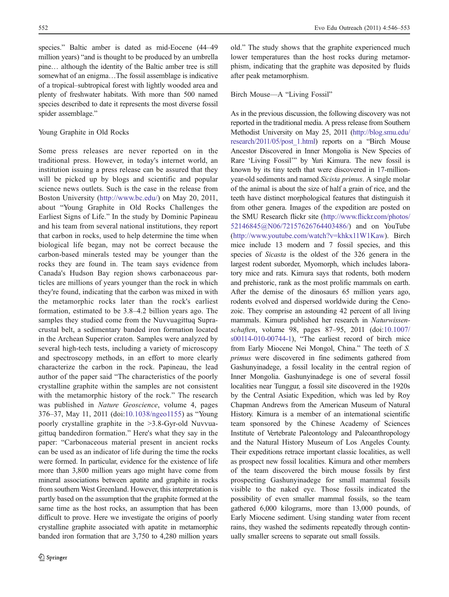species." Baltic amber is dated as mid-Eocene (44–49 million years) "and is thought to be produced by an umbrella pine… although the identity of the Baltic amber tree is still somewhat of an enigma…The fossil assemblage is indicative of a tropical–subtropical forest with lightly wooded area and plenty of freshwater habitats. With more than 500 named species described to date it represents the most diverse fossil spider assemblage."

### Young Graphite in Old Rocks

Some press releases are never reported on in the traditional press. However, in today's internet world, an institution issuing a press release can be assured that they will be picked up by blogs and scientific and popular science news outlets. Such is the case in the release from Boston University [\(http://www.bc.edu/](http://www.bc.edu/)) on May 20, 2011, about "Young Graphite in Old Rocks Challenges the Earliest Signs of Life." In the study by Dominic Papineau and his team from several national institutions, they report that carbon in rocks, used to help determine the time when biological life began, may not be correct because the carbon-based minerals tested may be younger than the rocks they are found in. The team says evidence from Canada's Hudson Bay region shows carbonaceous particles are millions of years younger than the rock in which they're found, indicating that the carbon was mixed in with the metamorphic rocks later than the rock's earliest formation, estimated to be 3.8–4.2 billion years ago. The samples they studied come from the Nuvvuagittuq Supracrustal belt, a sedimentary banded iron formation located in the Archean Superior craton. Samples were analyzed by several high-tech tests, including a variety of microscopy and spectroscopy methods, in an effort to more clearly characterize the carbon in the rock. Papineau, the lead author of the paper said "The characteristics of the poorly crystalline graphite within the samples are not consistent with the metamorphic history of the rock." The research was published in Nature Geoscience, volume 4, pages 376–37, May 11, 2011 (doi:[10.1038/ngeo1155](http://dx.doi.org/10.1038/ngeo1155)) as "Young poorly crystalline graphite in the >3.8-Gyr-old Nuvvuagittuq bandediron formation." Here's what they say in the paper: "Carbonaceous material present in ancient rocks can be used as an indicator of life during the time the rocks were formed. In particular, evidence for the existence of life more than 3,800 million years ago might have come from mineral associations between apatite and graphite in rocks from southern West Greenland. However, this interpretation is partly based on the assumption that the graphite formed at the same time as the host rocks, an assumption that has been difficult to prove. Here we investigate the origins of poorly crystalline graphite associated with apatite in metamorphic banded iron formation that are 3,750 to 4,280 million years

old." The study shows that the graphite experienced much lower temperatures than the host rocks during metamorphism, indicating that the graphite was deposited by fluids after peak metamorphism.

## Birch Mouse—A "Living Fossil"

As in the previous discussion, the following discovery was not reported in the traditional media. A press release from Southern Methodist University on May 25, 2011 [\(http://blog.smu.edu/](http://blog.smu.edu/research/2011/05/post_1.html) [research/2011/05/post\\_1.html](http://blog.smu.edu/research/2011/05/post_1.html)) reports on a "Birch Mouse Ancestor Discovered in Inner Mongolia is New Species of Rare 'Living Fossil'" by Yuri Kimura. The new fossil is known by its tiny teeth that were discovered in 17-millionyear-old sediments and named Sicista primus. A single molar of the animal is about the size of half a grain of rice, and the teeth have distinct morphological features that distinguish it from other genera. Images of the expedition are posted on the SMU Research flickr site [\(http://www.flickr.com/photos/](http://www.flickr.com/photos/52146845@N06/72157626764403486/) [52146845@N06/72157626764403486/\)](http://www.flickr.com/photos/52146845@N06/72157626764403486/) and on YouTube [\(http://www.youtube.com/watch?v=khkx11W1Kaw](http://www.youtube.com/watch?v=khkx11W1Kaw)). Birch mice include 13 modern and 7 fossil species, and this species of *Sicasta* is the oldest of the 326 genera in the largest rodent suborder, Myomorph, which includes laboratory mice and rats. Kimura says that rodents, both modern and prehistoric, rank as the most prolific mammals on earth. After the demise of the dinosaurs 65 million years ago, rodents evolved and dispersed worldwide during the Cenozoic. They comprise an astounding 42 percent of all living mammals. Kimura published her research in Naturwissenschaften, volume 98, pages 87–95, 2011 (doi[:10.1007/](http://dx.doi.org/10.1007/s00114-010-00744-1) [s00114-010-00744-1\)](http://dx.doi.org/10.1007/s00114-010-00744-1), "The earliest record of birch mice from Early Miocene Nei Mongol, China." The teeth of S. primus were discovered in fine sediments gathered from Gashunyinadege, a fossil locality in the central region of Inner Mongolia. Gashunyinadege is one of several fossil localities near Tunggur, a fossil site discovered in the 1920s by the Central Asiatic Expedition, which was led by Roy Chapman Andrews from the American Museum of Natural History. Kimura is a member of an international scientific team sponsored by the Chinese Academy of Sciences Institute of Vertebrate Paleontology and Paleoanthropology and the Natural History Museum of Los Angeles County. Their expeditions retrace important classic localities, as well as prospect new fossil localities. Kimura and other members of the team discovered the birch mouse fossils by first prospecting Gashunyinadege for small mammal fossils visible to the naked eye. Those fossils indicated the possibility of even smaller mammal fossils, so the team gathered 6,000 kilograms, more than 13,000 pounds, of Early Miocene sediment. Using standing water from recent rains, they washed the sediments repeatedly through continually smaller screens to separate out small fossils.